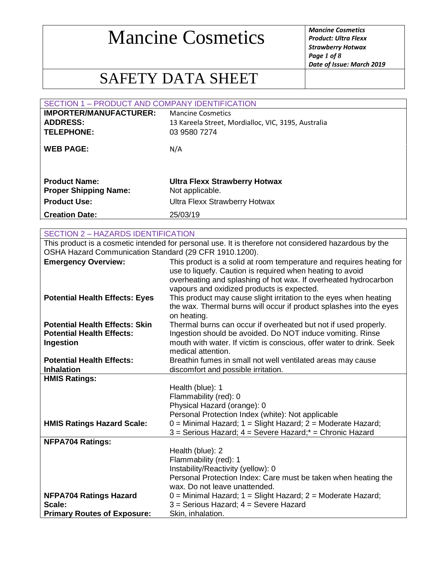*Product: Ultra Flexx Strawberry Hotwax Page 1 of 8 Date of Issue: March 2019*

### SAFETY DATA SHEET

|                               | SECTION 1 - PRODUCT AND COMPANY IDENTIFICATION      |  |
|-------------------------------|-----------------------------------------------------|--|
| <b>IMPORTER/MANUFACTURER:</b> | <b>Mancine Cosmetics</b>                            |  |
| <b>ADDRESS:</b>               | 13 Kareela Street, Mordialloc, VIC, 3195, Australia |  |
| <b>TELEPHONE:</b>             | 03 9580 7274                                        |  |
|                               |                                                     |  |
| <b>WEB PAGE:</b>              | N/A                                                 |  |
|                               |                                                     |  |
|                               |                                                     |  |
| <b>Product Name:</b>          | <b>Ultra Flexx Strawberry Hotwax</b>                |  |
| <b>Proper Shipping Name:</b>  | Not applicable.                                     |  |
| <b>Product Use:</b>           | <b>Ultra Flexx Strawberry Hotwax</b>                |  |
| <b>Creation Date:</b>         | 25/03/19                                            |  |
|                               |                                                     |  |

| <b>Creation Date:</b>                                  | 25/03/19                                                                                              |
|--------------------------------------------------------|-------------------------------------------------------------------------------------------------------|
|                                                        |                                                                                                       |
| <b>SECTION 2 - HAZARDS IDENTIFICATION</b>              |                                                                                                       |
|                                                        | This product is a cosmetic intended for personal use. It is therefore not considered hazardous by the |
| OSHA Hazard Communication Standard (29 CFR 1910.1200). |                                                                                                       |
| <b>Emergency Overview:</b>                             | This product is a solid at room temperature and requires heating for                                  |
|                                                        | use to liquefy. Caution is required when heating to avoid                                             |
|                                                        | overheating and splashing of hot wax. If overheated hydrocarbon                                       |
|                                                        | vapours and oxidized products is expected.                                                            |
| <b>Potential Health Effects: Eyes</b>                  | This product may cause slight irritation to the eyes when heating                                     |
|                                                        | the wax. Thermal burns will occur if product splashes into the eyes                                   |
|                                                        | on heating.                                                                                           |
| <b>Potential Health Effects: Skin</b>                  | Thermal burns can occur if overheated but not if used properly.                                       |
| <b>Potential Health Effects:</b>                       | Ingestion should be avoided. Do NOT induce vomiting. Rinse                                            |
| Ingestion                                              | mouth with water. If victim is conscious, offer water to drink. Seek<br>medical attention.            |
| <b>Potential Health Effects:</b>                       | Breathin fumes in small not well ventilated areas may cause                                           |
| <b>Inhalation</b>                                      | discomfort and possible irritation.                                                                   |
| <b>HMIS Ratings:</b>                                   |                                                                                                       |
|                                                        | Health (blue): 1                                                                                      |
|                                                        | Flammability (red): 0                                                                                 |
|                                                        | Physical Hazard (orange): 0                                                                           |
|                                                        | Personal Protection Index (white): Not applicable                                                     |
| <b>HMIS Ratings Hazard Scale:</b>                      | 0 = Minimal Hazard; 1 = Slight Hazard; 2 = Moderate Hazard;                                           |
|                                                        | 3 = Serious Hazard; 4 = Severe Hazard;* = Chronic Hazard                                              |
| <b>NFPA704 Ratings:</b>                                |                                                                                                       |
|                                                        | Health (blue): 2                                                                                      |
|                                                        | Flammability (red): 1                                                                                 |
|                                                        | Instability/Reactivity (yellow): 0                                                                    |
|                                                        | Personal Protection Index: Care must be taken when heating the                                        |
|                                                        | wax. Do not leave unattended.                                                                         |
| <b>NFPA704 Ratings Hazard</b>                          | 0 = Minimal Hazard; 1 = Slight Hazard; 2 = Moderate Hazard;                                           |
| Scale:                                                 | 3 = Serious Hazard; 4 = Severe Hazard                                                                 |
| <b>Primary Routes of Exposure:</b>                     | Skin, inhalation.                                                                                     |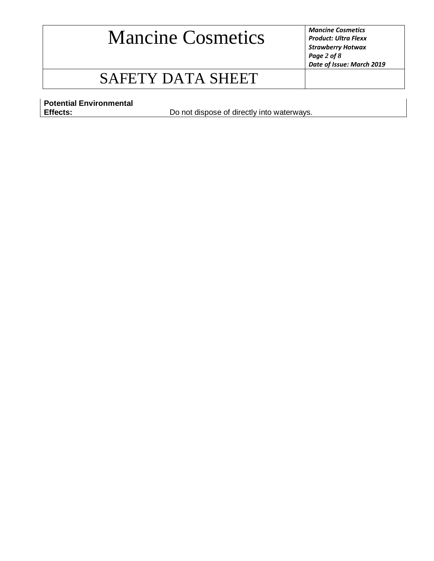*Product: Ultra Flexx Strawberry Hotwax Page 2 of 8 Date of Issue: March 2019*

### SAFETY DATA SHEET

**Potential Environmental** 

Do not dispose of directly into waterways.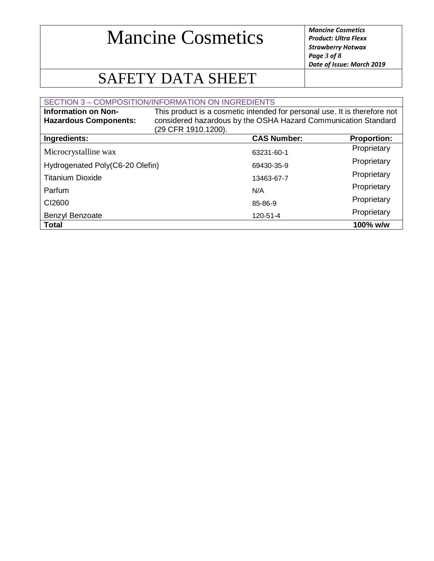*Product: Ultra Flexx Strawberry Hotwax Page 3 of 8 Date of Issue: March 2019*

### SAFETY DATA SHEET

| <b>SECTION 3 - COMPOSITION/INFORMATION ON INGREDIENTS</b>  |                                                                                                                                                                    |                    |
|------------------------------------------------------------|--------------------------------------------------------------------------------------------------------------------------------------------------------------------|--------------------|
| <b>Information on Non-</b><br><b>Hazardous Components:</b> | This product is a cosmetic intended for personal use. It is therefore not<br>considered hazardous by the OSHA Hazard Communication Standard<br>(29 CFR 1910.1200). |                    |
| Ingredients:                                               | <b>CAS Number:</b>                                                                                                                                                 | <b>Proportion:</b> |
| Microcrystalline wax                                       | 63231-60-1                                                                                                                                                         | Proprietary        |
| Hydrogenated Poly(C6-20 Olefin)                            | 69430-35-9                                                                                                                                                         | Proprietary        |
| <b>Titanium Dioxide</b>                                    | 13463-67-7                                                                                                                                                         | Proprietary        |
| Parfum                                                     | N/A                                                                                                                                                                | Proprietary        |
| C <sub>12600</sub>                                         | 85-86-9                                                                                                                                                            | Proprietary        |
| Benzyl Benzoate                                            | 120-51-4                                                                                                                                                           | Proprietary        |
| <b>Total</b>                                               |                                                                                                                                                                    | 100% w/w           |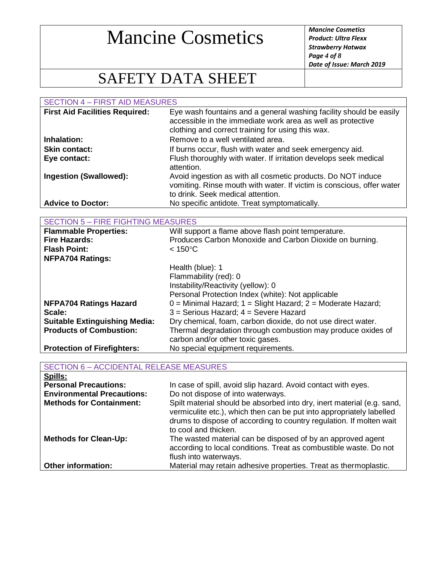*Product: Ultra Flexx Strawberry Hotwax Page 4 of 8 Date of Issue: March 2019*

### SAFETY DATA SHEET

SECTION 4 – FIRST AID MEASURES **First Aid Facilities Required:** Eye wash fountains and a general washing facility should be easily accessible in the immediate work area as well as protective clothing and correct training for using this wax. **Inhalation:** Remove to a well ventilated area. **Skin contact:** If burns occur, flush with water and seek emergency aid. **Eye contact:** Flush thoroughly with water. If irritation develops seek medical attention. **Ingestion (Swallowed):** Avoid ingestion as with all cosmetic products. Do NOT induce vomiting. Rinse mouth with water. If victim is conscious, offer water to drink. Seek medical attention. **Advice to Doctor:** No specific antidote. Treat symptomatically. SECTION 5 – FIRE FIGHTING MEASURES

| SECTION 5 – FIRE FIGHTING MEASURES   |                                                                   |
|--------------------------------------|-------------------------------------------------------------------|
| <b>Flammable Properties:</b>         | Will support a flame above flash point temperature.               |
| <b>Fire Hazards:</b>                 | Produces Carbon Monoxide and Carbon Dioxide on burning.           |
| <b>Flash Point:</b>                  | $< 150^{\circ}$ C                                                 |
| <b>NFPA704 Ratings:</b>              |                                                                   |
|                                      | Health (blue): 1                                                  |
|                                      | Flammability (red): 0                                             |
|                                      | Instability/Reactivity (yellow): 0                                |
|                                      | Personal Protection Index (white): Not applicable                 |
| <b>NFPA704 Ratings Hazard</b>        | $0 =$ Minimal Hazard; $1 =$ Slight Hazard; $2 =$ Moderate Hazard; |
| Scale:                               | 3 = Serious Hazard; 4 = Severe Hazard                             |
| <b>Suitable Extinguishing Media:</b> | Dry chemical, foam, carbon dioxide, do not use direct water.      |
| <b>Products of Combustion:</b>       | Thermal degradation through combustion may produce oxides of      |
|                                      | carbon and/or other toxic gases.                                  |
| <b>Protection of Firefighters:</b>   | No special equipment requirements.                                |

| <b>SECTION 6 - ACCIDENTAL RELEASE MEASURES</b> |                                                                                                                                                                                                                                               |
|------------------------------------------------|-----------------------------------------------------------------------------------------------------------------------------------------------------------------------------------------------------------------------------------------------|
| Spills:                                        |                                                                                                                                                                                                                                               |
| <b>Personal Precautions:</b>                   | In case of spill, avoid slip hazard. Avoid contact with eyes.                                                                                                                                                                                 |
| <b>Environmental Precautions:</b>              | Do not dispose of into waterways.                                                                                                                                                                                                             |
| <b>Methods for Containment:</b>                | Spilt material should be absorbed into dry, inert material (e.g. sand,<br>vermiculite etc.), which then can be put into appropriately labelled<br>drums to dispose of according to country regulation. If molten wait<br>to cool and thicken. |
| <b>Methods for Clean-Up:</b>                   | The wasted material can be disposed of by an approved agent<br>according to local conditions. Treat as combustible waste. Do not<br>flush into waterways.                                                                                     |
| <b>Other information:</b>                      | Material may retain adhesive properties. Treat as thermoplastic.                                                                                                                                                                              |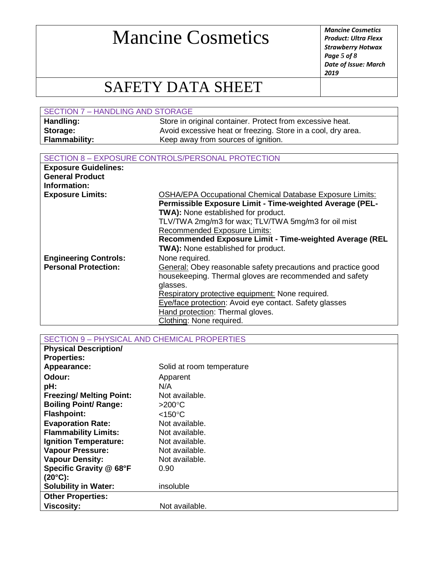*Product: Ultra Flexx Strawberry Hotwax Page 5 of 8 Date of Issue: March 2019*

### SAFETY DATA SHEET

| SECTION 7 - HANDLING AND STORAGE |                                                              |
|----------------------------------|--------------------------------------------------------------|
| Handling:                        | Store in original container. Protect from excessive heat.    |
| Storage:                         | Avoid excessive heat or freezing. Store in a cool, dry area. |
| <b>Flammability:</b>             | Keep away from sources of ignition.                          |

#### SECTION 8 – EXPOSURE CONTROLS/PERSONAL PROTECTION

| <b>Exposure Guidelines:</b>  |                                                                 |
|------------------------------|-----------------------------------------------------------------|
| <b>General Product</b>       |                                                                 |
| Information:                 |                                                                 |
| <b>Exposure Limits:</b>      | <b>OSHA/EPA Occupational Chemical Database Exposure Limits:</b> |
|                              | Permissible Exposure Limit - Time-weighted Average (PEL-        |
|                              | <b>TWA):</b> None established for product.                      |
|                              | TLV/TWA 2mg/m3 for wax; TLV/TWA 5mg/m3 for oil mist             |
|                              | <b>Recommended Exposure Limits:</b>                             |
|                              | Recommended Exposure Limit - Time-weighted Average (REL         |
|                              | <b>TWA):</b> None established for product.                      |
| <b>Engineering Controls:</b> | None required.                                                  |
| <b>Personal Protection:</b>  | General: Obey reasonable safety precautions and practice good   |
|                              | housekeeping. Thermal gloves are recommended and safety         |
|                              | glasses.                                                        |
|                              | Respiratory protective equipment: None required.                |
|                              | Eye/face protection: Avoid eye contact. Safety glasses          |
|                              | Hand protection: Thermal gloves.                                |
|                              | Clothing: None required.                                        |

SECTION 9 – PHYSICAL AND CHEMICAL PROPERTIES

| <b>Physical Description/</b>    |                           |
|---------------------------------|---------------------------|
| <b>Properties:</b>              |                           |
| Appearance:                     | Solid at room temperature |
| Odour:                          | Apparent                  |
| pH:                             | N/A                       |
| <b>Freezing/ Melting Point:</b> | Not available.            |
| <b>Boiling Point/ Range:</b>    | $>200^{\circ}$ C          |
| <b>Flashpoint:</b>              | $<$ 150 $^{\circ}$ C      |
| <b>Evaporation Rate:</b>        | Not available.            |
| <b>Flammability Limits:</b>     | Not available.            |
| <b>Ignition Temperature:</b>    | Not available.            |
| <b>Vapour Pressure:</b>         | Not available.            |
| <b>Vapour Density:</b>          | Not available.            |
| Specific Gravity @ 68°F         | 0.90                      |
| $(20^{\circ}C)$ :               |                           |
| <b>Solubility in Water:</b>     | insoluble                 |
| <b>Other Properties:</b>        |                           |
| <b>Viscosity:</b>               | Not available.            |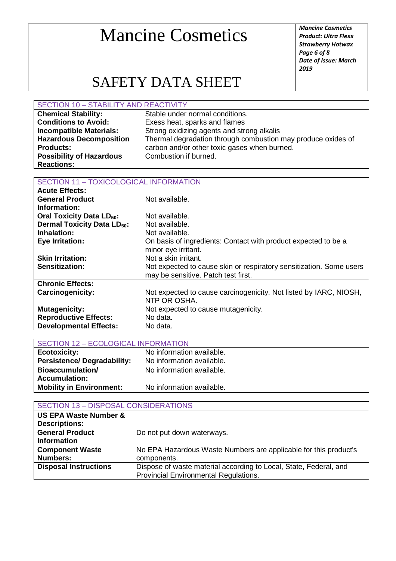*Product: Ultra Flexx Strawberry Hotwax Page 6 of 8 Date of Issue: March 2019*

### SAFETY DATA SHEET

#### SECTION 10 – STABILITY AND REACTIVITY

| <b>Chemical Stability:</b>      | Stable under normal conditions.                              |
|---------------------------------|--------------------------------------------------------------|
| <b>Conditions to Avoid:</b>     | Exess heat, sparks and flames                                |
| <b>Incompatible Materials:</b>  | Strong oxidizing agents and strong alkalis                   |
| <b>Hazardous Decomposition</b>  | Thermal degradation through combustion may produce oxides of |
| <b>Products:</b>                | carbon and/or other toxic gases when burned.                 |
| <b>Possibility of Hazardous</b> | Combustion if burned.                                        |
| <b>Reactions:</b>               |                                                              |

#### SECTION 11 – TOXICOLOGICAL INFORMATION

| <b>Acute Effects:</b>                        |                                                                                                            |
|----------------------------------------------|------------------------------------------------------------------------------------------------------------|
| <b>General Product</b>                       | Not available.                                                                                             |
| Information:                                 |                                                                                                            |
| <b>Oral Toxicity Data LD<sub>50</sub>:</b>   | Not available.                                                                                             |
| <b>Dermal Toxicity Data LD<sub>50</sub>:</b> | Not available.                                                                                             |
| Inhalation:                                  | Not available.                                                                                             |
| <b>Eye Irritation:</b>                       | On basis of ingredients: Contact with product expected to be a<br>minor eye irritant.                      |
| <b>Skin Irritation:</b>                      | Not a skin irritant.                                                                                       |
| Sensitization:                               | Not expected to cause skin or respiratory sensitization. Some users<br>may be sensitive. Patch test first. |
| <b>Chronic Effects:</b>                      |                                                                                                            |
| <b>Carcinogenicity:</b>                      | Not expected to cause carcinogenicity. Not listed by IARC, NIOSH,<br>NTP OR OSHA.                          |
| <b>Mutagenicity:</b>                         | Not expected to cause mutagenicity.                                                                        |
| <b>Reproductive Effects:</b>                 | No data.                                                                                                   |
| <b>Developmental Effects:</b>                | No data.                                                                                                   |

| <b>SECTION 12 - ECOLOGICAL INFORMATION</b> |                           |
|--------------------------------------------|---------------------------|
| <b>Ecotoxicity:</b>                        | No information available. |
| <b>Persistence/Degradability:</b>          | No information available. |
| <b>Bioaccumulation/</b>                    | No information available. |
| <b>Accumulation:</b>                       |                           |
| <b>Mobility in Environment:</b>            | No information available. |

| <b>SECTION 13 - DISPOSAL CONSIDERATIONS</b> |                                                                   |
|---------------------------------------------|-------------------------------------------------------------------|
| <b>US EPA Waste Number &amp;</b>            |                                                                   |
| <b>Descriptions:</b>                        |                                                                   |
| <b>General Product</b>                      | Do not put down waterways.                                        |
| <b>Information</b>                          |                                                                   |
| <b>Component Waste</b>                      | No EPA Hazardous Waste Numbers are applicable for this product's  |
| <b>Numbers:</b>                             | components.                                                       |
| <b>Disposal Instructions</b>                | Dispose of waste material according to Local, State, Federal, and |
|                                             | Provincial Environmental Regulations.                             |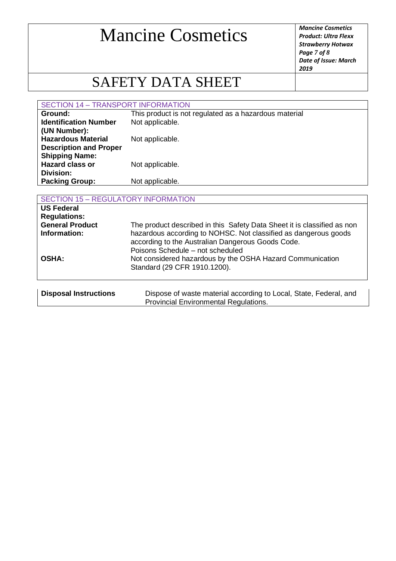*Product: Ultra Flexx Strawberry Hotwax Page 7 of 8 Date of Issue: March 2019*

### SAFETY DATA SHEET

### SECTION 14 – TRANSPORT INFORMATION

| Ground:                       | This product is not regulated as a hazardous material |
|-------------------------------|-------------------------------------------------------|
| <b>Identification Number</b>  | Not applicable.                                       |
| (UN Number):                  |                                                       |
| <b>Hazardous Material</b>     | Not applicable.                                       |
| <b>Description and Proper</b> |                                                       |
| <b>Shipping Name:</b>         |                                                       |
| <b>Hazard class or</b>        | Not applicable.                                       |
| Division:                     |                                                       |
| <b>Packing Group:</b>         | Not applicable.                                       |
|                               |                                                       |

| <b>SECTION 15 - REGULATORY INFORMATION</b> |                                                                                                                                                                                                                                     |  |
|--------------------------------------------|-------------------------------------------------------------------------------------------------------------------------------------------------------------------------------------------------------------------------------------|--|
| <b>US Federal</b><br><b>Regulations:</b>   |                                                                                                                                                                                                                                     |  |
| <b>General Product</b><br>Information:     | The product described in this Safety Data Sheet it is classified as non<br>hazardous according to NOHSC. Not classified as dangerous goods<br>according to the Australian Dangerous Goods Code.<br>Poisons Schedule - not scheduled |  |
| <b>OSHA:</b>                               | Not considered hazardous by the OSHA Hazard Communication<br>Standard (29 CFR 1910.1200).                                                                                                                                           |  |
| <b>Disposal Instructions</b>               | Dispose of waste material according to Local, State, Federal, and<br>Provincial Environmental Regulations.                                                                                                                          |  |